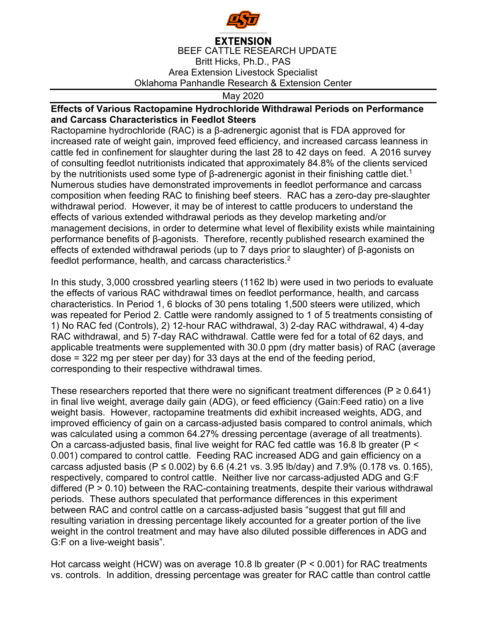

**EXTENSION** BEEF CATTLE RESEARCH UPDATE Britt Hicks, Ph.D., PAS Area Extension Livestock Specialist Oklahoma Panhandle Research & Extension Center

May 2020

## **Effects of Various Ractopamine Hydrochloride Withdrawal Periods on Performance and Carcass Characteristics in Feedlot Steers**

Ractopamine hydrochloride (RAC) is a β-adrenergic agonist that is FDA approved for increased rate of weight gain, improved feed efficiency, and increased carcass leanness in cattle fed in confinement for slaughter during the last 28 to 42 days on feed. A 2016 survey of consulting feedlot nutritionists indicated that approximately 84.8% of the clients serviced by the nutritionists used some type of β-adrenergic agonist in their finishing cattle diet.<sup>1</sup> Numerous studies have demonstrated improvements in feedlot performance and carcass composition when feeding RAC to finishing beef steers. RAC has a zero-day pre-slaughter withdrawal period. However, it may be of interest to cattle producers to understand the effects of various extended withdrawal periods as they develop marketing and/or management decisions, in order to determine what level of flexibility exists while maintaining performance benefits of β-agonists. Therefore, recently published research examined the effects of extended withdrawal periods (up to 7 days prior to slaughter) of β-agonists on feedlot performance, health, and carcass characteristics.<sup>2</sup>

In this study, 3,000 crossbred yearling steers (1162 lb) were used in two periods to evaluate the effects of various RAC withdrawal times on feedlot performance, health, and carcass characteristics. In Period 1, 6 blocks of 30 pens totaling 1,500 steers were utilized, which was repeated for Period 2. Cattle were randomly assigned to 1 of 5 treatments consisting of 1) No RAC fed (Controls), 2) 12-hour RAC withdrawal, 3) 2-day RAC withdrawal, 4) 4-day RAC withdrawal, and 5) 7-day RAC withdrawal. Cattle were fed for a total of 62 days, and applicable treatments were supplemented with 30.0 ppm (dry matter basis) of RAC (average dose = 322 mg per steer per day) for 33 days at the end of the feeding period, corresponding to their respective withdrawal times.

These researchers reported that there were no significant treatment differences ( $P \ge 0.641$ ) in final live weight, average daily gain (ADG), or feed efficiency (Gain:Feed ratio) on a live weight basis. However, ractopamine treatments did exhibit increased weights, ADG, and improved efficiency of gain on a carcass-adjusted basis compared to control animals, which was calculated using a common 64.27% dressing percentage (average of all treatments). On a carcass-adjusted basis, final live weight for RAC fed cattle was 16.8 lb greater (P < 0.001) compared to control cattle. Feeding RAC increased ADG and gain efficiency on a carcass adjusted basis (P ≤ 0.002) by 6.6 (4.21 vs. 3.95 lb/day) and 7.9% (0.178 vs. 0.165), respectively, compared to control cattle. Neither live nor carcass-adjusted ADG and G:F differed (P > 0.10) between the RAC-containing treatments, despite their various withdrawal periods. These authors speculated that performance differences in this experiment between RAC and control cattle on a carcass-adjusted basis "suggest that gut fill and resulting variation in dressing percentage likely accounted for a greater portion of the live weight in the control treatment and may have also diluted possible differences in ADG and G:F on a live-weight basis".

Hot carcass weight (HCW) was on average 10.8 lb greater (P < 0.001) for RAC treatments vs. controls. In addition, dressing percentage was greater for RAC cattle than control cattle